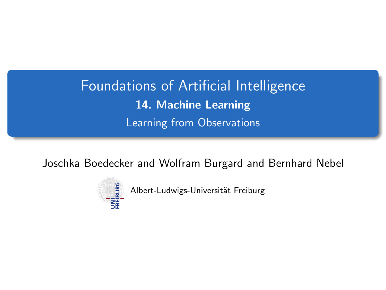<span id="page-0-0"></span>Foundations of Artificial Intelligence 14. Machine Learning Learning from Observations

Joschka Boedecker and Wolfram Burgard and Bernhard Nebel



Albert-Ludwigs-Universität Freiburg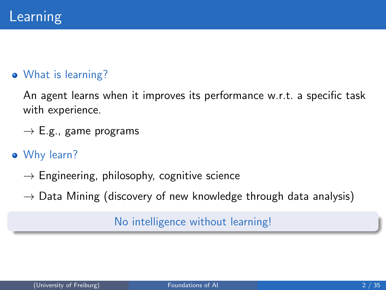#### What is learning?

An agent learns when it improves its performance w.r.t. a specific task with experience.

- $\rightarrow$  E.g., game programs
- Why learn?
	- $\rightarrow$  Engineering, philosophy, cognitive science
	- $\rightarrow$  Data Mining (discovery of new knowledge through data analysis)

#### No intelligence without learning!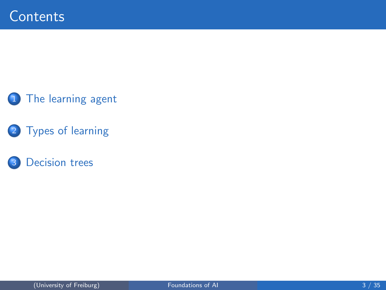#### 1 [The learning agent](#page-3-0)

2 [Types of learning](#page-6-0)

#### 3 [Decision trees](#page-9-0)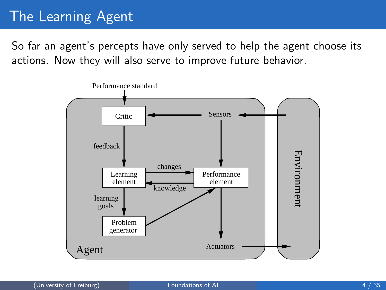## <span id="page-3-0"></span>The Learning Agent

So far an agent's percepts have only served to help the agent choose its actions. Now they will also serve to improve future behavior.

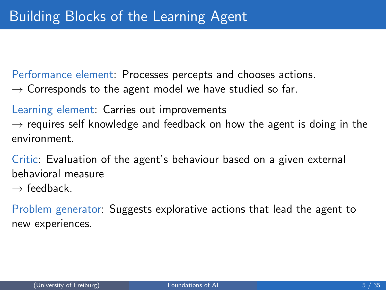Performance element: Processes percepts and chooses actions.

 $\rightarrow$  Corresponds to the agent model we have studied so far.

Learning element: Carries out improvements  $\rightarrow$  requires self knowledge and feedback on how the agent is doing in the environment.

Critic: Evaluation of the agent's behaviour based on a given external behavioral measure

 $\rightarrow$  feedback

Problem generator: Suggests explorative actions that lead the agent to new experiences.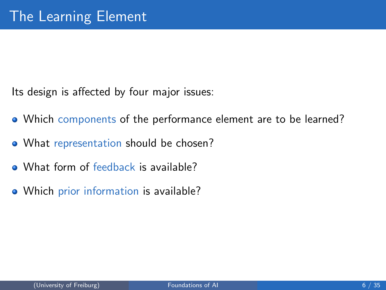Its design is affected by four major issues:

- Which components of the performance element are to be learned?
- What representation should be chosen?
- What form of feedback is available?
- Which prior information is available?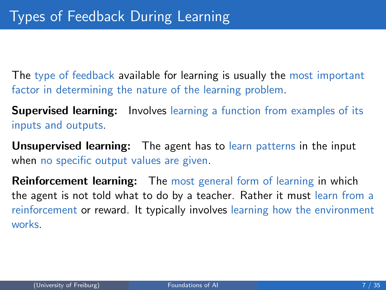<span id="page-6-0"></span>The type of feedback available for learning is usually the most important factor in determining the nature of the learning problem.

**Supervised learning:** Involves learning a function from examples of its inputs and outputs.

Unsupervised learning: The agent has to learn patterns in the input when no specific output values are given.

**Reinforcement learning:** The most general form of learning in which the agent is not told what to do by a teacher. Rather it must learn from a reinforcement or reward. It typically involves learning how the environment works.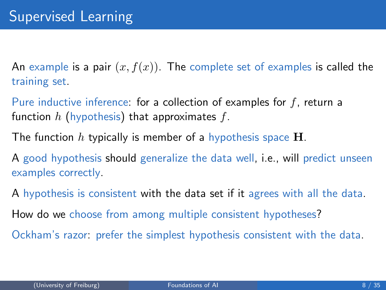An example is a pair  $(x, f(x))$ . The complete set of examples is called the training set.

Pure inductive inference: for a collection of examples for f, return a function h (hypothesis) that approximates f.

The function h typically is member of a hypothesis space  $H$ .

A good hypothesis should generalize the data well, i.e., will predict unseen examples correctly.

A hypothesis is consistent with the data set if it agrees with all the data.

How do we choose from among multiple consistent hypotheses?

Ockham's razor: prefer the simplest hypothesis consistent with the data.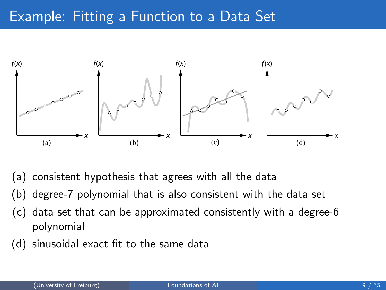### Example: Fitting a Function to a Data Set



- (a) consistent hypothesis that agrees with all the data
- (b) degree-7 polynomial that is also consistent with the data set
- (c) data set that can be approximated consistently with a degree-6 polynomial
- (d) sinusoidal exact fit to the same data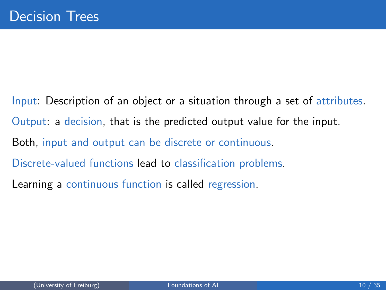<span id="page-9-0"></span>Input: Description of an object or a situation through a set of attributes. Output: a decision, that is the predicted output value for the input. Both, input and output can be discrete or continuous. Discrete-valued functions lead to classification problems. Learning a continuous function is called regression.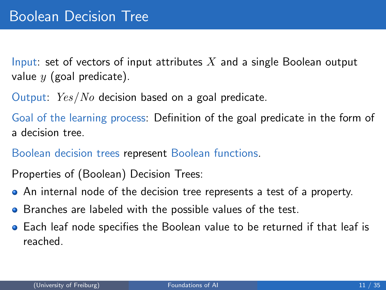Input: set of vectors of input attributes  $X$  and a single Boolean output value  $y$  (goal predicate).

Output: Yes/No decision based on a goal predicate.

Goal of the learning process: Definition of the goal predicate in the form of a decision tree.

Boolean decision trees represent Boolean functions.

Properties of (Boolean) Decision Trees:

- An internal node of the decision tree represents a test of a property.
- **•** Branches are labeled with the possible values of the test.
- Each leaf node specifies the Boolean value to be returned if that leaf is reached.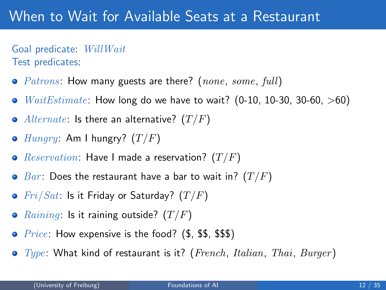### When to Wait for Available Seats at a Restaurant

Goal predicate: WillWait Test predicates:

- $Patrons$ : How many guests are there? (none, some, full)
- $WaitEstimate$ : How long do we have to wait? (0-10, 10-30, 30-60, >60)  $\bullet$
- Alternate: Is there an alternative?  $(T/F)$
- $\bullet$  Hungry: Am I hungry?  $(T/F)$
- *Reservation*: Have I made a reservation?  $(T/F)$  $\bullet$
- $\bullet$   $Bar:$  Does the restaurant have a bar to wait in?  $(T/F)$
- $Fri/Sat$ : Is it Friday or Saturday?  $(T/F)$
- *Raining*: Is it raining outside?  $(T/F)$  $\bullet$
- *Price:* How expensive is the food?  $(\text{\$}, \text{\$}\$, \text{\$}\$)$  $\bullet$
- $\bullet$  Type: What kind of restaurant is it? (French, Italian, Thai, Burger)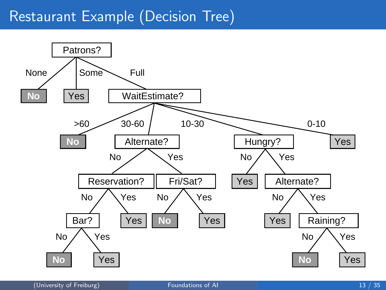#### Restaurant Example (Decision Tree)

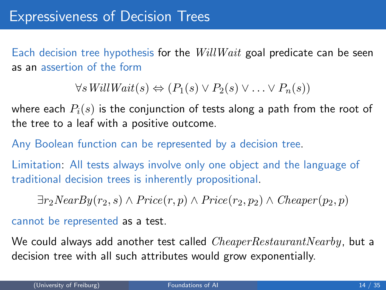Each decision tree hypothesis for the  $WillWait$  goal predicate can be seen as an assertion of the form

 $\forall s \textit{WillWait}(s) \Leftrightarrow (P_1(s) \vee P_2(s) \vee \ldots \vee P_n(s))$ 

where each  $P_i(s)$  is the conjunction of tests along a path from the root of the tree to a leaf with a positive outcome.

Any Boolean function can be represented by a decision tree.

Limitation: All tests always involve only one object and the language of traditional decision trees is inherently propositional.

 $\exists r_2NearBy(r_2, s) \wedge Price(r, p) \wedge Price(r_2, p_2) \wedge Cheaper(p_2, p)$ 

cannot be represented as a test.

We could always add another test called  $CheaperRestaurantNearby$ , but a decision tree with all such attributes would grow exponentially.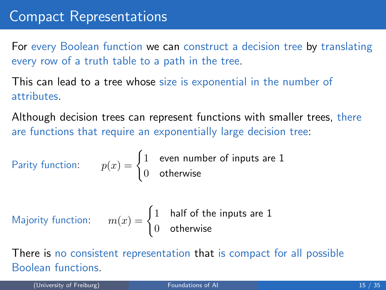For every Boolean function we can construct a decision tree by translating every row of a truth table to a path in the tree.

This can lead to a tree whose size is exponential in the number of attributes.

Although decision trees can represent functions with smaller trees, there are functions that require an exponentially large decision tree:

Parity function: 
$$
p(x) = \begin{cases} 1 & \text{even number of inputs are 1} \\ 0 & \text{otherwise} \end{cases}
$$

Majority function: 
$$
m(x) = \begin{cases} 1 & \text{half of the inputs are 1} \\ 0 & \text{otherwise} \end{cases}
$$

There is no consistent representation that is compact for all possible Boolean functions.

(University of Freiburg) [Foundations of AI](#page-0-0) 15 / 35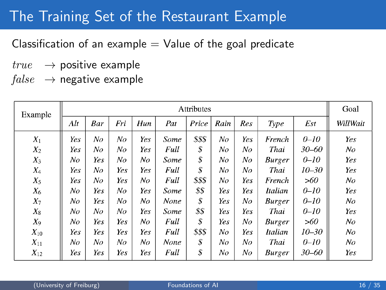### The Training Set of the Restaurant Example

Classification of an example  $=$  Value of the goal predicate

- $true \rightarrow$  positive example
- $false \rightarrow$  negative example

| Example  | Attributes |     |     |     |      |        |      |     |                |           | Goal           |
|----------|------------|-----|-----|-----|------|--------|------|-----|----------------|-----------|----------------|
|          | Alt        | Bar | Fri | Hun | Pat  | Price  | Rain | Res | Type           | Est       | WillWait       |
| $X_1$    | Yes        | No  | No  | Yes | Some | \$\$\$ | No   | Yes | French         | $0 - 10$  | Yes            |
| $X_2$    | Yes        | No  | No  | Yes | Full | \$     | No   | No  | Thai           | 30–60     | No             |
| $X_3$    | No         | Yes | No  | No  | Some | \$     | No   | No  | <b>Burger</b>  | $0 - 10$  | Yes            |
| $X_4$    | Yes        | No  | Yes | Yes | Full | \$     | No   | No  | Thai           | $10 - 30$ | Yes            |
| $X_5$    | Yes        | No  | Yes | No  | Full | \$\$\$ | No   | Yes | French         | >60       | No             |
| $X_6$    | No         | Yes | No  | Yes | Some | \$\$   | Yes  | Yes | Italian        | $0 - 10$  | Yes            |
| $X_7$    | No         | Yes | No  | No  | None | \$     | Yes  | No  | <b>Burger</b>  | $0 - 10$  | N <sub>O</sub> |
| $X_8$    | No         | No  | No  | Yes | Some | \$\$   | Yes  | Yes | Thai           | $0 - 10$  | Yes            |
| $X_9$    | No         | Yes | Yes | No  | Full | \$     | Yes  | No  | <b>Burger</b>  | >60       | No             |
| $X_{10}$ | Yes        | Yes | Yes | Yes | Full | \$\$\$ | No   | Yes | <b>Italian</b> | $10 - 30$ | No             |
| $X_{11}$ | No         | No  | No  | No  | None | \$     | No   | No  | Thai           | $0 - 10$  | No             |
| $X_{12}$ | Yes        | Yes | Yes | Yes | Full | \$     | No   | No  | <b>Burger</b>  | 30–60     | Yes            |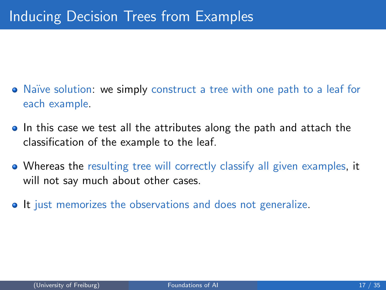- Naïve solution: we simply construct a tree with one path to a leaf for each example.
- In this case we test all the attributes along the path and attach the classification of the example to the leaf.
- Whereas the resulting tree will correctly classify all given examples, it will not say much about other cases.
- It just memorizes the observations and does not generalize.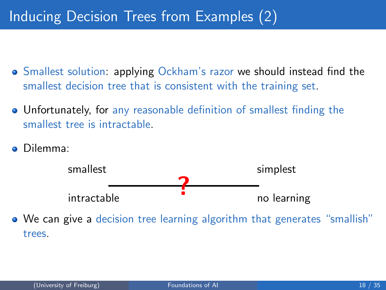## Inducing Decision Trees from Examples (2)

- Smallest solution: applying Ockham's razor we should instead find the smallest decision tree that is consistent with the training set.
- Unfortunately, for any reasonable definition of smallest finding the smallest tree is intractable.
- Dilemma:



We can give a decision tree learning algorithm that generates "smallish" trees.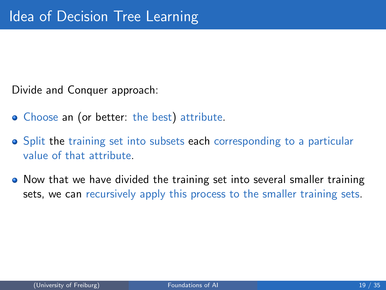Divide and Conquer approach:

- Choose an (or better: the best) attribute.
- Split the training set into subsets each corresponding to a particular value of that attribute.
- Now that we have divided the training set into several smaller training sets, we can recursively apply this process to the smaller training sets.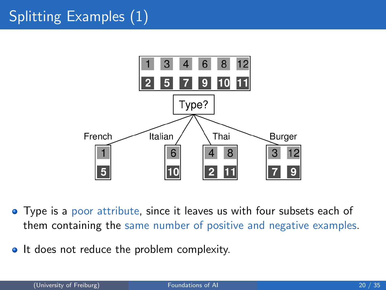# Splitting Examples (1)



- Type is a poor attribute, since it leaves us with four subsets each of them containing the same number of positive and negative examples.
- It does not reduce the problem complexity.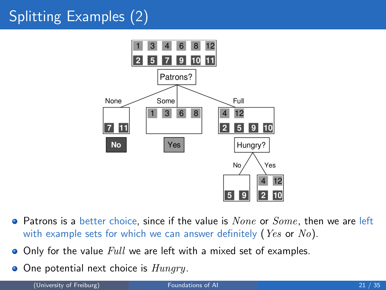# Splitting Examples (2)



- $\bullet$  Patrons is a better choice, since if the value is  $None$  or  $Some$ , then we are left with example sets for which we can answer definitely (*Yes* or  $No$ ).
- Only for the value Full we are left with a mixed set of examples.  $\bullet$
- $\bullet$  One potential next choice is  $Hungry$ .

(University of Freiburg) The Communications of AI 21 / 35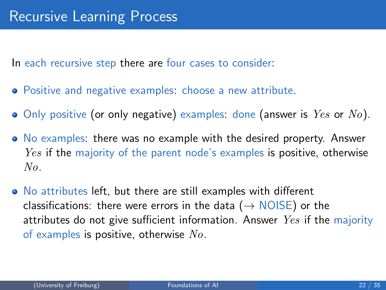In each recursive step there are four cases to consider:

- Positive and negative examples: choose a new attribute.
- $\bullet$  Only positive (or only negative) examples: done (answer is  $Yes$  or  $No$ ).
- No examples: there was no example with the desired property. Answer *Yes* if the majority of the parent node's examples is positive, otherwise No.
- No attributes left, but there are still examples with different classifications: there were errors in the data ( $\rightarrow$  NOISE) or the attributes do not give sufficient information. Answer  $Yes$  if the majority of examples is positive, otherwise  $No$ .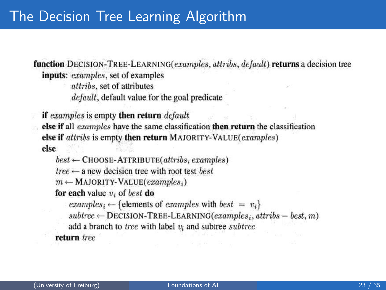### The Decision Tree Learning Algorithm

function DECISION-TREE-LEARNING(examples, attribs, default) returns a decision tree inputs: examples, set of examples

attribs, set of attributes *default*, default value for the goal predicate

if examples is empty then return default else if all examples have the same classification then return the classification else if attribs is empty then return MAJORITY-VALUE(examples) else

 $best \leftarrow$ CHOOSE-ATTRIBUTE(attribs, examples)

 $tree \leftarrow$  a new decision tree with root test best.

 $m \leftarrow$  MAJORITY-VALUE(examples;)

for each value  $v_i$  of best do

examples<sub>i</sub>  $\leftarrow$  {elements of examples with best =  $v_i$ }

 $subtree \leftarrow$  DECISION-TREE-LEARNING(examples; attribs - best, m)

add a branch to tree with label  $v_i$  and subtree subtree

return tree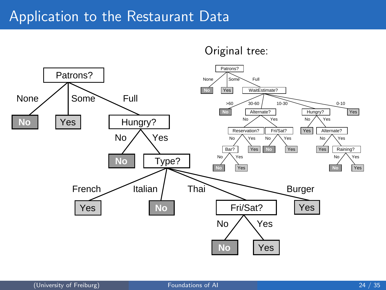#### Application to the Restaurant Data

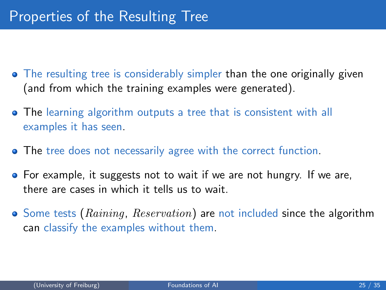- The resulting tree is considerably simpler than the one originally given (and from which the training examples were generated).
- The learning algorithm outputs a tree that is consistent with all examples it has seen.
- **The tree does not necessarily agree with the correct function.**
- **•** For example, it suggests not to wait if we are not hungry. If we are, there are cases in which it tells us to wait.
- $\bullet$  Some tests (Raining, Reservation) are not included since the algorithm can classify the examples without them.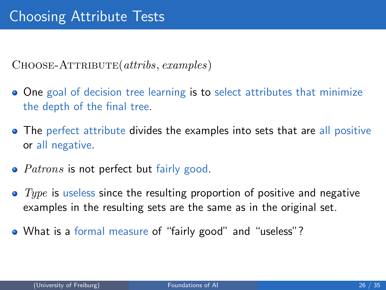$CHOOSE-ATTRIBUTE(a tribs, examples)$ 

- One goal of decision tree learning is to select attributes that minimize the depth of the final tree.
- The perfect attribute divides the examples into sets that are all positive or all negative.
- $\bullet$  *Patrons* is not perfect but fairly good.
- $\bullet$  Type is useless since the resulting proportion of positive and negative examples in the resulting sets are the same as in the original set.
- What is a formal measure of "fairly good" and "useless"?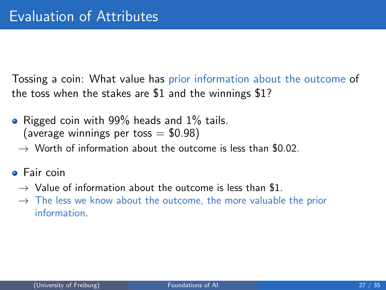Tossing a coin: What value has prior information about the outcome of the toss when the stakes are \$1 and the winnings \$1?

- Rigged coin with 99% heads and 1% tails. (average winnings per toss  $= $0.98$ )
	- $\rightarrow$  Worth of information about the outcome is less than \$0.02.
- **o** Fair coin
	- $\rightarrow$  Value of information about the outcome is less than \$1.
	- $\rightarrow$  The less we know about the outcome, the more valuable the prior information.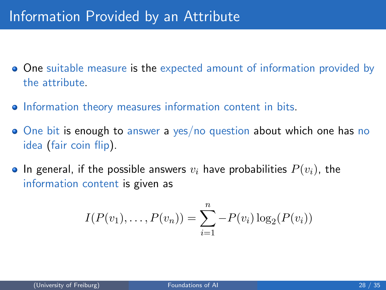- **One** suitable measure is the expected amount of information provided by the attribute.
- **•** Information theory measures information content in bits.
- One bit is enough to answer a yes/no question about which one has no idea (fair coin flip).
- In general, if the possible answers  $v_i$  have probabilities  $P(v_i)$ , the information content is given as

$$
I(P(v_1),...,P(v_n)) = \sum_{i=1}^n -P(v_i)\log_2(P(v_i))
$$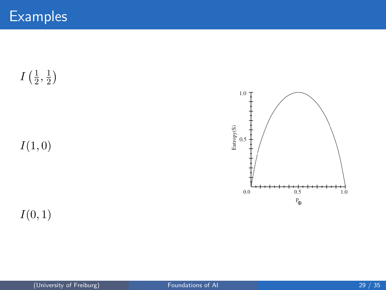$I\left(\frac{1}{2}\right)$  $\frac{1}{2}, \frac{1}{2}$  $\frac{1}{2}$ 

 $I(1, 0)$ 

 $\ensuremath{\mathsf{Entropy}}(\ensuremath{\mathsf{S}})$  $0.5$ ⊣  $0.0$  $0.5$  $1.0$  $P_{\bigoplus}$ 

 $1.0$ 

 $I(0, 1)$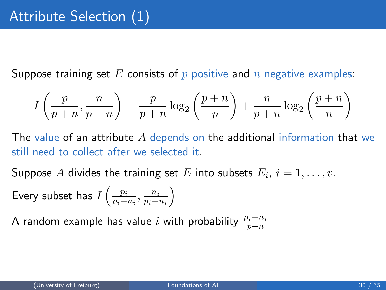Suppose training set E consists of  $p$  positive and  $n$  negative examples:

$$
I\left(\frac{p}{p+n}, \frac{n}{p+n}\right) = \frac{p}{p+n} \log_2\left(\frac{p+n}{p}\right) + \frac{n}{p+n} \log_2\left(\frac{p+n}{n}\right)
$$

The value of an attribute A depends on the additional information that we still need to collect after we selected it.

Suppose  $A$  divides the training set  $E$  into subsets  $E_i, \ i=1,\ldots,v.$ Every subset has  $I\left(\frac{p_i}{n+1}\right)$  $\frac{p_i}{p_i+n_i}, \frac{n_i}{p_i+}$  $p_i+n_i$  $\setminus$ 

A random example has value  $i$  with probability  $\frac{p_i+n_i}{p+n}$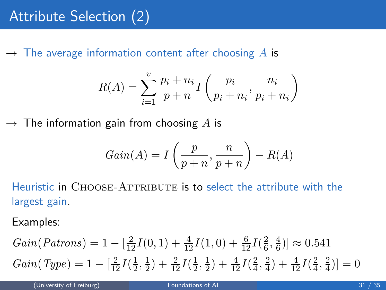$\rightarrow$  The average information content after choosing A is

$$
R(A) = \sum_{i=1}^{v} \frac{p_i + n_i}{p + n} I\left(\frac{p_i}{p_i + n_i}, \frac{n_i}{p_i + n_i}\right)
$$

 $\rightarrow$  The information gain from choosing A is

$$
Gain(A) = I\left(\frac{p}{p+n}, \frac{n}{p+n}\right) - R(A)
$$

Heuristic in CHOOSE-ATTRIBUTE is to select the attribute with the largest gain.

Examples:

$$
Gain(Patrons) = 1 - \left[\frac{2}{12}I(0,1) + \frac{4}{12}I(1,0) + \frac{6}{12}I(\frac{2}{6}, \frac{4}{6})\right] \approx 0.541
$$
  
\n
$$
Gain(Type) = 1 - \left[\frac{2}{12}I(\frac{1}{2}, \frac{1}{2}) + \frac{2}{12}I(\frac{1}{2}, \frac{1}{2}) + \frac{4}{12}I(\frac{2}{4}, \frac{2}{4}) + \frac{4}{12}I(\frac{2}{4}, \frac{2}{4})\right] = 0
$$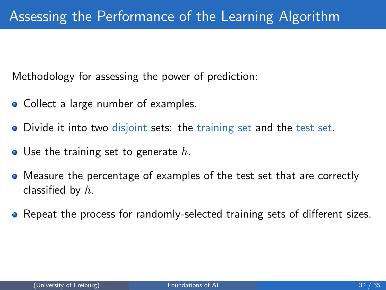Methodology for assessing the power of prediction:

- Collect a large number of examples.
- Divide it into two disjoint sets: the training set and the test set.
- $\bullet$  Use the training set to generate h.
- Measure the percentage of examples of the test set that are correctly classified by  $h$ .
- Repeat the process for randomly-selected training sets of different sizes.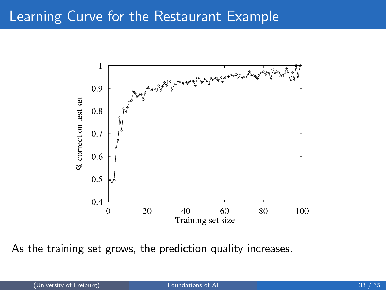#### Learning Curve for the Restaurant Example



As the training set grows, the prediction quality increases.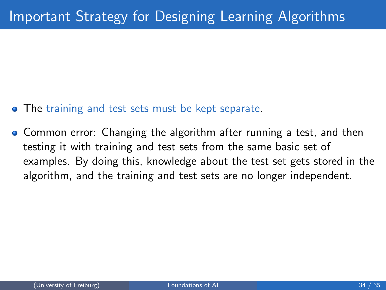- **The training and test sets must be kept separate.**
- **Common error: Changing the algorithm after running a test, and then** testing it with training and test sets from the same basic set of examples. By doing this, knowledge about the test set gets stored in the algorithm, and the training and test sets are no longer independent.